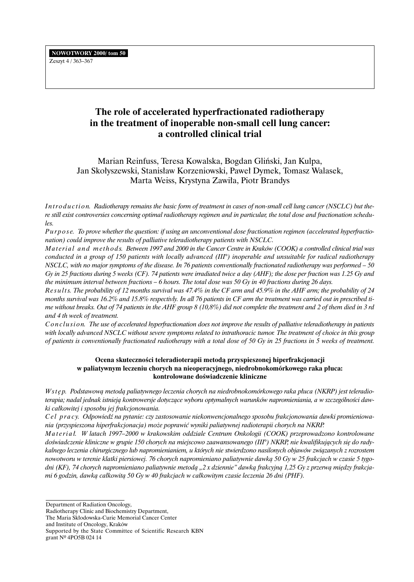# **The role of accelerated hyperfractionated radiotherapy in the treatment of inoperable non-small cell lung cancer: a controlled clinical trial**

Marian Reinfuss, Teresa Kowalska, Bogdan Gliński, Jan Kulpa, Jan Skołyszewski, Stanisław Korzeniowski, Paweł Dymek, Tomasz Walasek, Marta Weiss, Krystyna Zawiła, Piotr Brandys

Introduction. Radiotherapy remains the basic form of treatment in cases of non-small cell lung cancer (NSCLC) but the*re still exist controversies concerning optimal radiotherapy regimen and in particular, the total dose and fractionation schedules.*

*P u r p o s e. To prove whether the question: if using an unconventional dose fractionation regimen (accelerated hyperfractionation) could improve the results of palliative teleradiotherapy patients with NSCLC.*

*Material and methods. Between 1997 and 2000 in the Cancer Centre in Kraków (COOK) a controlled clinical trial was conducted in a group of 150 patients with locally advanced (III°) inoperable and unsuitable for radical radiotherapy NSCLC, with no major symptoms of the disease. In 76 patients conventionally fractionated radiotherapy was performed – 50 Gy in 25 fractions during 5 weeks (CF). 74 patients were irradiated twice a day (AHF); the dose per fraction was 1.25 Gy and the minimum interval between fractions – 6 hours. The total dose was 50 Gy in 40 fractions during 26 days.*

*Re s u l t s. The probability of 12 months survival was 47.4% in the CF arm and 45.9% in the AHF arm; the probability of 24 months survival was 16.2% and 15.8% respectivly. In all 76 patients in CF arm the treatment was carried out in prescribed time without breaks. Out of 74 patients in the AHF group 8 (10,8%) did not complete the treatment and 2 of them died in 3 rd and 4 th week of treatment.*

*Conclusion. The use of accelerated hyperfractionation does not improve the results of palliative teleradiotherapy in patients with locally advanced NSCLC without severe symptoms related to intrathoracic tumor. The treatment of choice in this group of patients is conventionally fractionated radiotherapy with a total dose of 50 Gy in 25 fractions in 5 weeks of treatment.*

# **Ocena skutecznoÊci teleradioterapii metodà przyspieszonej hiperfrakcjonacji w paliatywnym leczeniu chorych na nieoperacyjnego, niedrobnokomórkowego raka p∏uca: kontrolowane doÊwiadczenie kliniczne**

*W s t ´ p. Podstawowà metodà paliatywnego leczenia chorych na niedrobnokomórkowego raka p∏uca (NKRP) jest teleradio*terapia; nadal jednak istnieją kontrowersje dotyczące wyboru optymalnych warunków napromieniania, a w szczególności daw*ki ca∏kowitej i sposobu jej frakcjonowania.*

*C e l p r a c y. Odpowiedê na pytanie: czy zastosowanie niekonwencjonalnego sposobu frakcjonowania dawki promieniowania (przyspieszona hiperfrakcjonacja) mo˝e poprawiç wyniki paliatywnej radioterapii chorych na NKRP.*

*M a t e r i a ∏. W latach 1997–2000 w krakowskim oddziale Centrum Onkologii (COOK) przeprowadzono kontrolowane* doświadczenie kliniczne w grupie 150 chorych na miejscowo zaawansowanego (III°) NKRP, nie kwalifikujących się do rady*kalnego leczenia chirurgicznego lub napromienianiem, u których nie stwierdzono nasilonych objawów zwiàzanych z rozrostem nowotworu w terenie klatki piersiowej. 76 chorych napromieniano paliatywnie dawkà 50 Gy w 25 frakcjach w czasie 5 tygo*dni (KF), 74 chorych napromieniano paliatywnie metodą "2 x dziennie" dawką frakcyjną 1,25 Gy z przerwą między frakcja*mi 6 godzin, dawkà ca∏kowità 50 Gy w 40 frakcjach w ca∏kowitym czasie leczenia 26 dni (PHF).*

Department of Radiation Oncology,

- Radiotherapy Clinic and Biochemistry Department,
- The Maria Skłodowska-Curie Memorial Cancer Center
- and Institute of Oncology, Kraków

Supported by the State Committee of Scientific Research KBN grant Nº 4PO5B 024 14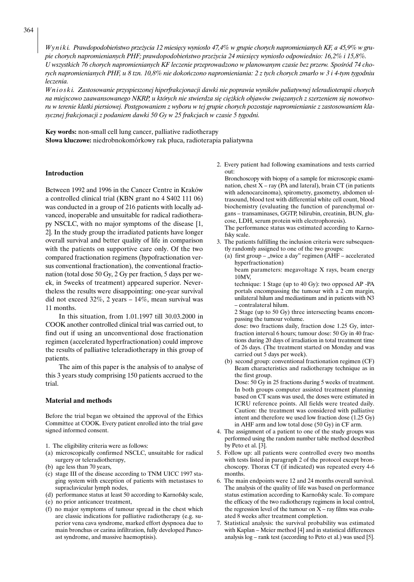*Wyniki. Prawdopodobieństwo przeżycia 12 miesięcy wyniosło 47,4% w grupie chorych napromienianych KF, a 45,9% w grupie chorych napromienianych PHF; prawdopodobieƒstwo prze˝ycia 24 miesi´cy wynios∏o odpowiednio: 16,2% i 15,8%.* U wszystkich 76 chorych napromienianych KF leczenie przeprowadzono w planowanym czasie bez przerw. Spośród 74 cho*rych napromienianych PHF, u 8 tzn. 10,8% nie dokończono napromieniania: 2 z tych chorych zmarło w 3 i 4-tym tygodniu leczenia.*

*W n i o s k i. Zastosowanie przyspieszonej hiperfrakcjonacji dawki nie poprawia wyników paliatywnej teleradioterapii chorych* na miejscowo zaawansowanego NKRP, u których nie stwierdza się ciężkich objawów związanych z szerzeniem się nowotworu w terenie klatki piersiowej. Postępowaniem z wyboru w tej grupie chorych pozostaje napromienianie z zastosowaniem kla*sycznej frakcjonacji z podaniem dawki 50 Gy w 25 frakcjach w czasie 5 tygodni.*

**Key words:** non-small cell lung cancer, palliative radiotherapy **S∏owa kluczowe:** niedrobnokomórkowy rak p∏uca, radioterapia paliatywna

### **Introduction**

Between 1992 and 1996 in the Cancer Centre in Kraków a controlled clinical trial (KBN grant no 4 S402 111 06) was conducted in a group of 216 patients with locally advanced, inoperable and unsuitable for radical radiotherapy NSCLC, with no major symptoms of the disease [1, 2]. In the study group the irradiated patients have longer overall survival and better quality of life in comparison with the patients on supportive care only. Of the two compared fractionation regimens (hypofractionation versus conventional fractionation), the conventional fractionation (total dose 50 Gy, 2 Gy per fraction, 5 days per week, in 5weeks of treatment) appeared superior. Nevertheless the results were disappointing: one-year survival did not exceed 32%, 2 years – 14%, mean survival was 11 months.

In this situation, from 1.01.1997 till 30.03.2000 in COOK another controlled clinical trial was carried out, to find out if using an unconventional dose fractionation regimen (accelerated hyperfractionation) could improve the results of palliative teleradiotherapy in this group of patients.

The aim of this paper is the analysis of to analyse of this 3 years study comprising 150 patients accrued to the trial.

#### **Material and methods**

Before the trial began we obtained the approval of the Ethics Committee at COOK. Every patient enrolled into the trial gave signed informed consent.

- 1. The eligibility criteria were as follows:
- (a) microscopically confirmed NSCLC, unsuitable for radical surgery or teleradiotherapy,
- (b) age less than 70 years,
- (c) stage III of the disease according to TNM UICC 1997 staging system with exception of patients with metastases to supraclavicular lymph nodes,
- (d) performance status at least 50 according to Karnofsky scale,
- (e) no prior anticancer treatment,
- (f) no major symptoms of tumour spread in the chest which are classic indications for palliative radiotherapy (e.g. superior vena cava syndrome, marked effort dyspnoea due to main bronchus or carina infiltration, fully developed Pancoast syndrome, and massive haemoptisis).

2. Every patient had following examinations and tests carried out:

Bronchoscopy with biopsy of a sample for microscopic examination, chest  $X - ray$  (PA and lateral), brain CT (in patients with adenocarcinoma), spirometry, gasometry, abdomen ultrasound, blood test with differential white cell count, blood biochemistry (evaluating the function of parenchymal organs – transaminases, GGTP, bilirubin, creatinin, BUN, glucose, LDH, serum protein with electrophoresis).

The performance status was estimated according to Karnofsky scale.

- 3. The patients fulfilling the inclusion criteria were subsequently randomly assigned to one of the two groups:
	- (a) first group  $-$  "twice a day" regimen (AHF accelerated hyperfractionation)

beam parameters: megavoltage X rays, beam energy 10MV,

technique: 1 Stage (up to 40 Gy): two opposed AP -PA portals encompassing the tumour with a 2 cm margin, unilateral hilum and mediastinum and in patients with N3 – contralateral hilum.

2 Stage (up to 50 Gy) three intersecting beams encompassing the tumour volume.

dose: two fractions daily, fraction dose 1.25 Gy, interfraction interval 6 hours; tumour dose: 50 Gy in 40 fractions during 20 days of irradiation in total treatment time of 26 days. (The treatment started on Monday and was carried out 5 days per week).

(b) second group: conventional fractionation regimen (CF) Beam characteristics and radiotherapy technique as in the first group.

Dose: 50 Gy in 25 fractions during 5 weeks of treatment. In both groups computer assisted treatment planning based on CT scans was used, the doses were estimated in ICRU reference points. All fields were treated daily. Caution: the treatment was considered with palliative intent and therefore we used low fraction dose (1.25 Gy) in AHF arm and low total dose (50 Gy) in CF arm.

- 4. The assignment of a patient to one of the study groups was performed using the random number table method described by Peto et al. [3].
- 5. Follow up: all patients were controlled every two months with tests listed in paragraph 2 of the protocol except bronchoscopy. Thorax CT (if indicated) was repeated every 4-6 months.
- 6. The main endpoints were 12 and 24 months overall survival. The analysis of the quality of life was based on performance status estimation according to Karnofsky scale. To compare the efficacy of the two radiotherapy regimens in local control, the regression level of the tumour on  $X$  – ray films was evaluated 8 weeks after treatment completion.
- Statistical analysis: the survival probability was estimated with Kaplan – Meier method [4] and in statistical differences analysis log – rank test (according to Peto et al.) was used [5].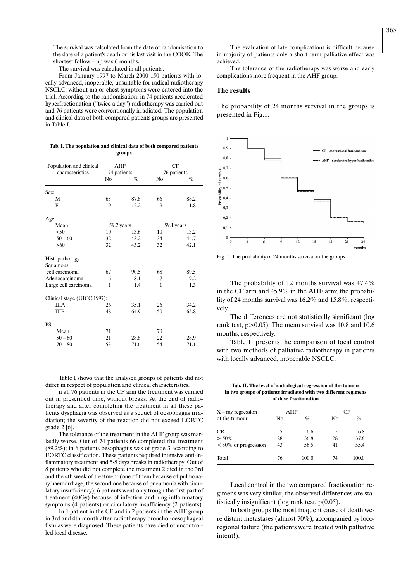The survival was calculated from the date of randomisation to the date of a patient's death or his last visit in the COOK. The shortest follow – up was 6 months.

The survival was calculated in all patients.

From January 1997 to March 2000 150 patients with locally advanced, inoperable, unsuitable for radical radiotherapy NSCLC, without major chest symptoms were entered into the trial. According to the randomisation: in 74 patients accelerated hyperfractionation ("twice a day") radiotherapy was carried out and 76 patients were conventionally irradiated. The population and clinical data of both compared patients groups are presented in Table I.

| Tab. I. The population and clinical data of both compared patients |
|--------------------------------------------------------------------|
| groups                                                             |

| Population and clinical<br>characteristics | AHF<br>74 patients |      | CF<br>76 patients |      |
|--------------------------------------------|--------------------|------|-------------------|------|
|                                            | N <sub>0</sub>     | %    | No                | %    |
| Sex:                                       |                    |      |                   |      |
| М                                          | 65                 | 87.8 | 66                | 88.2 |
| F                                          | 9                  | 12.2 | 9                 | 11.8 |
| Age:                                       |                    |      |                   |      |
| Mean                                       | 59.2 years         |      | 59.1 years        |      |
| < 50                                       | 10                 | 13.6 | 10                | 13.2 |
| $50 - 60$                                  | 32                 | 43.2 | 34                | 44.7 |
| >60                                        | 32                 | 43.2 | 32                | 42.1 |
| Histopathology:                            |                    |      |                   |      |
| Squamous                                   |                    |      |                   |      |
| cell carcinoma                             | 67                 | 90.5 | 68                | 89.5 |
| Adenocarcinoma                             | 6                  | 8.1  | 7                 | 9.2  |
| Large cell carcinoma                       | 1                  | 1.4  | 1                 | 1.3  |
| Clinical stage (UICC 1997):                |                    |      |                   |      |
| <b>IIIA</b>                                | 26                 | 35.1 | 26                | 34.2 |
| ШB                                         | 48                 | 64.9 | 50                | 65.8 |
| PS:                                        |                    |      |                   |      |
| Mean                                       | 71                 |      | 70                |      |
| $50 - 60$                                  | 21                 | 28.8 | 22                | 28.9 |
| $70 - 80$                                  | 53                 | 71.6 | 54                | 71.1 |

Table I shows that the analysed groups of patients did not differ in respect of population and clinical characteristics.

n all 76 patients in the CF arm the treatment was carried out in prescribed time, without breaks. At the end of radiotherapy and after completing the treatment in all these patients dysphagia was observed as a sequel of oesophagus irradiation; the severity of the reaction did not exceed EORTC grade 2 [6].

The tolerance of the treatment in the AHF group was markedly worse. Out of 74 patients 66 completed the treatment (89.2%); in 6 patients oesophagitis was of grade 3 according to EORTC classification. These patients required intensive anti-inflammatory treatment and 5-8 days breaks in radiotherapy. Out of 8 patients who did not complete the treatment 2 died in the 3rd and the 4th week of treatment (one of them because of pulmonary haemorrhage, the second one because of pneumonia with circulatory insufficiency); 6 patients went only trough the first part of treatment (40Gy) because of infection and lung inflammatory symptoms (4 patients) or circulatory insufficiency (2 patients).

In 1 patient in the CF and in 2 patients in the AHF group in 3rd and 4th month after radiotherapy broncho -oesophageal fistulas were diagnosed. These patients have died of uncontrolled local disease.

The evaluation of late complications is difficult because in majority of patients only a short term palliative effect was achieved.

The tolerance of the radiotherapy was worse and early complications more frequent in the AHF group.

#### **The results**

The probability of 24 months survival in the groups is presented in Fig.1.



Fig. 1. The probability of 24 months survival in the groups

The probability of 12 months survival was 47.4% in the CF arm and 45.9% in the AHF arm; the probability of 24 months survival was 16.2% and 15.8%, respectively.

The differences are not statistically significant (log rank test,  $p > 0.05$ ). The mean survival was 10.8 and 10.6 months, respectively.

Table II presents the comparison of local control with two methods of palliative radiotherapy in patients with locally advanced, inoperable NSCLC.

**Tab. II. The level of radiological regression of the tumour in two groups of patients irradiated with two different regimens of dose fractionation**

| $X$ – ray regression    | AHF |       | CF |       |
|-------------------------|-----|-------|----|-------|
| of the tumour           | No  | %     | No | %     |
| <b>CR</b>               | 5   | 6.6   | 5  | 6.8   |
| $> 50\%$                | 28  | 36.8  | 28 | 37.8  |
| $< 50\%$ or progression | 43  | 56.5  | 41 | 55.4  |
| Total                   | 76  | 100.0 | 74 | 100.0 |

Local control in the two compared fractionation regimens was very similar, the observed differences are statistically insignificant (log rank test,  $p(0.05)$ .

In both groups the most frequent cause of death were distant metastases (almost 70%), accompanied by locoregional failure (the patients were treated with palliative intent!).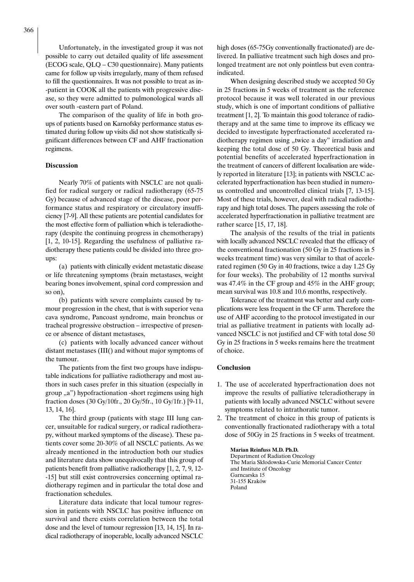Unfortunately, in the investigated group it was not possible to carry out detailed quality of life assessment (ECOG scale, QLQ – C30 questionnaire). Many patients came for follow up visits irregularly, many of them refused to fill the questionnaires. It was not possible to treat as in- -patient in COOK all the patients with progressive disease, so they were admitted to pulmonological wards all over south -eastern part of Poland.

The comparison of the quality of life in both groups of patients based on Karnofsky performance status estimated during follow up visits did not show statistically significant differences between CF and AHF fractionation regimens.

#### **Discussion**

Nearly 70% of patients with NSCLC are not qualified for radical surgery or radical radiotherapy (65-75 Gy) because of advanced stage of the disease, poor performance status and respiratory or circulatory insufficiency [7-9]. All these patients are potential candidates for the most effective form of palliation which is teleradiotherapy (despite the continuing progress in chemotherapy) [1, 2, 10-15]. Regarding the usefulness of palliative radiotherapy these patients could be divided into three groups:

(a) patients with clinically evident metastatic disease or life threatening symptoms (brain metastases, weight bearing bones involvement, spinal cord compression and so on),

(b) patients with severe complaints caused by tumour progression in the chest, that is with superior vena cava syndrome, Pancoast syndrome, main bronchus or tracheal progressive obstruction – irrespective of presence or absence of distant metastases,

(c) patients with locally advanced cancer without distant metastases (III() and without major symptoms of the tumour.

The patients from the first two groups have indisputable indications for palliative radiotherapy and most authors in such cases prefer in this situation (especially in  $\gamma$ group "a") hypofractionation -short regimens using high fraction doses (30 Gy/10fr., 20 Gy/5fr., 10 Gy/1fr.) [9-11, 13, 14, 16].

The third group (patients with stage III lung cancer, unsuitable for radical surgery, or radical radiotherapy, without marked symptoms of the disease). These patients cover some 20-30% of all NSCLC patients. As we already mentioned in the introduction both our studies and literature data show unequivocally that this group of patients benefit from palliative radiotherapy [1, 2, 7, 9, 12- -15] but still exist controversies concerning optimal radiotherapy regimen and in particular the total dose and fractionation schedules.

Literature data indicate that local tumour regression in patients with NSCLC has positive influence on survival and there exists correlation between the total dose and the level of tumour regression [13, 14, 15]. In radical radiotherapy of inoperable, locally advanced NSCLC high doses (65-75Gy conventionally fractionated) are delivered. In palliative treatment such high doses and prolonged treatment are not only pointless but even contraindicated.

When designing described study we accepted 50 Gy in 25 fractions in 5 weeks of treatment as the reference protocol because it was well tolerated in our previous study, which is one of important conditions of palliative treatment [1, 2]. To maintain this good tolerance of radiotherapy and at the same time to improve its efficacy we decided to investigate hyperfractionated accelerated radiotherapy regimen using "twice a day" irradiation and keeping the total dose of 50 Gy. Theoretical basis and potential benefits of accelerated hyperfractionation in the treatment of cancers of different localisation are widely reported in literature [13]; in patients with NSCLC accelerated hyperfractionation has been studied in numerous controlled and uncontrolled clinical trials [7, 13-15]. Most of these trials, however, deal with radical radiotherapy and high total doses. The papers assessing the role of accelerated hyperfractionation in palliative treatment are rather scarce [15, 17, 18].

The analysis of the results of the trial in patients with locally advanced NSCLC revealed that the efficacy of the conventional fractionation (50 Gy in 25 fractions in 5 weeks treatment time) was very similar to that of accelerated regimen (50 Gy in 40 fractions, twice a day 1.25 Gy for four weeks). The probability of 12 months survival was 47.4% in the CF group and 45% in the AHF group; mean survival was 10.8 and 10.6 months, respectively.

Tolerance of the treatment was better and early complications were less frequent in the CF arm. Therefore the use of AHF according to the protocol investigated in our trial as palliative treatment in patients with locally advanced NSCLC is not justified and CF with total dose 50 Gy in 25 fractions in 5 weeks remains here the treatment of choice.

#### **Conclusion**

- 1. The use of accelerated hyperfractionation does not improve the results of palliative teleradiotherapy in patients with locally advanced NSCLC without severe symptoms related to intrathoratic tumor.
- 2. The treatment of choice in this group of patients is conventionally fractionated radiotherapy with a total dose of 50Gy in 25 fractions in 5 weeks of treatment.

**Marian Reinfuss M.D. Ph.D.** Department of Radiation Oncology The Maria Skłodowska-Curie Memorial Cancer Center and Institute of Oncology Garncarska 15 31-155 Kraków Poland